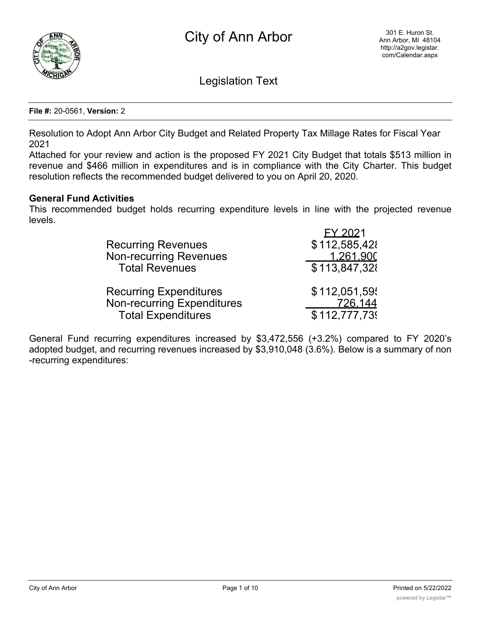

Legislation Text

**File #:** 20-0561, **Version:** 2

Resolution to Adopt Ann Arbor City Budget and Related Property Tax Millage Rates for Fiscal Year 2021

Attached for your review and action is the proposed FY 2021 City Budget that totals \$513 million in revenue and \$466 million in expenditures and is in compliance with the City Charter. This budget resolution reflects the recommended budget delivered to you on April 20, 2020.

#### **General Fund Activities**

This recommended budget holds recurring expenditure levels in line with the projected revenue levels.

| FY 2021<br>\$112,585,428<br>1.261.900<br>\$113,847,328 |
|--------------------------------------------------------|
| \$112,051,59<br>726,144<br>\$112,777,739               |
|                                                        |

General Fund recurring expenditures increased by \$3,472,556 (+3.2%) compared to FY 2020's adopted budget, and recurring revenues increased by \$3,910,048 (3.6%). Below is a summary of non -recurring expenditures:

Fire-Tornado siren repairs 16,000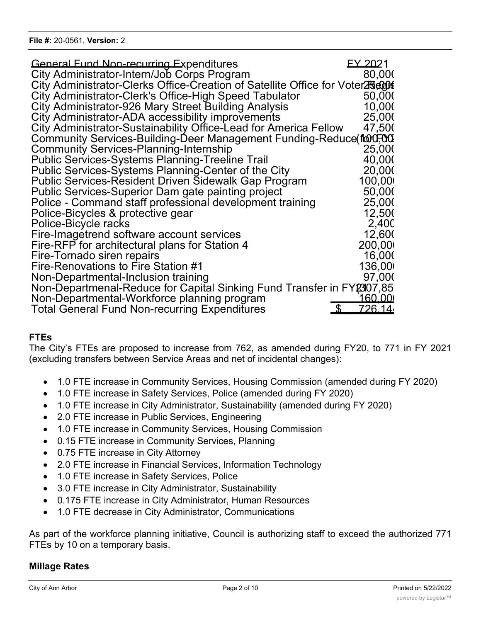| <b>General Fund Non-recurring Expenditures</b>                                  | EY 2021                          |
|---------------------------------------------------------------------------------|----------------------------------|
| City Administrator-Intern/Job Corps Program                                     | 80,000                           |
| City Administrator-Clerks Office-Creation of Satellite Office for Voter25,000\$ |                                  |
| City Administrator-Clerk's Office-High Speed Tabulator                          | 50,000                           |
| City Administrator-926 Mary Street Building Analysis                            | 10,000                           |
| City Administrator-ADA accessibility improvements                               | 25,000                           |
| City Administrator-Sustainability Office-Lead for America Fellow                | 47,500                           |
| Community Services-Building-Deer Management Funding-Reduce for Community        |                                  |
| <b>Community Services-Planning-Internship</b>                                   | 25,000                           |
| <b>Public Services-Systems Planning-Treeline Trail</b>                          | 40,000                           |
| Public Services-Systems Planning-Center of the City                             | 20,000                           |
| Public Services-Resident Driven Sidewalk Gap Program                            | 100,00                           |
| Public Services-Superior Dam gate painting project                              | 50,000                           |
| Police - Command staff professional development training                        | 25,000                           |
| Police-Bicycles & protective gear                                               | 12,500                           |
| Police-Bicycle racks                                                            | 2,40 <sub>C</sub>                |
| Fire-Imagetrend software account services                                       | 12,600                           |
| Fire-RFP for architectural plans for Station 4                                  | 200,00                           |
| Fire-Tornado siren repairs                                                      | 16,000                           |
| Fire-Renovations to Fire Station #1                                             | 136,00                           |
| Non-Departmental-Inclusion training                                             | 97,000                           |
| Non-Departmenal-Reduce for Capital Sinking Fund Transfer in FY2307,85           |                                  |
| Non-Departmental-Workforce planning program                                     | 160.00                           |
| <b>Total General Fund Non-recurring Expenditures</b>                            | $\mathfrak{L}$<br><u>726.14.</u> |

## **FTEs**

The City's FTEs are proposed to increase from 762, as amended during FY20, to 771 in FY 2021 (excluding transfers between Service Areas and net of incidental changes):

- · 1.0 FTE increase in Community Services, Housing Commission (amended during FY 2020)
- · 1.0 FTE increase in Safety Services, Police (amended during FY 2020)
- · 1.0 FTE increase in City Administrator, Sustainability (amended during FY 2020)
- 2.0 FTE increase in Public Services, Engineering
- 1.0 FTE increase in Community Services, Housing Commission
- · 0.15 FTE increase in Community Services, Planning
- · 0.75 FTE increase in City Attorney
- · 2.0 FTE increase in Financial Services, Information Technology
- · 1.0 FTE increase in Safety Services, Police
- · 3.0 FTE increase in City Administrator, Sustainability
- · 0.175 FTE increase in City Administrator, Human Resources
- 1.0 FTE decrease in City Administrator, Communications

As part of the workforce planning initiative, Council is authorizing staff to exceed the authorized 771 FTEs by 10 on a temporary basis.

### **Millage Rates**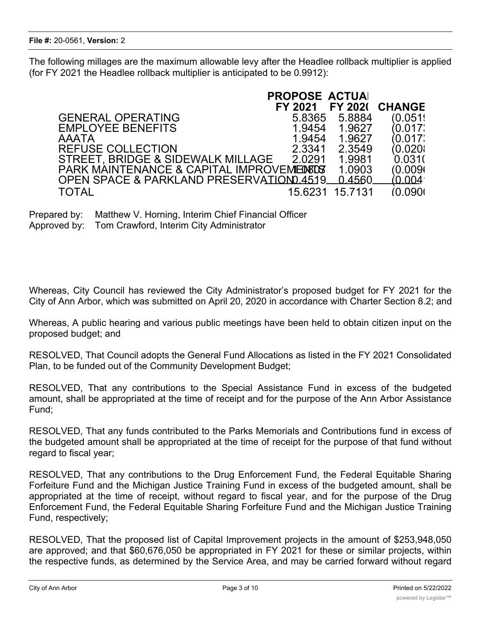The following millages are the maximum allowable levy after the Headlee rollback multiplier is applied (for FY 2021 the Headlee rollback multiplier is anticipated to be 0.9912):

|                                                | <b>PROPOSE ACTUAL</b> |                 |                |
|------------------------------------------------|-----------------------|-----------------|----------------|
|                                                | FY 2021               |                 | FY 2021 CHANGE |
| <b>GENERAL OPERATING</b>                       | 5.8365                | 5.8884          | (0.051)        |
| <b>EMPLOYEE BENEFITS</b>                       | 1.9454                | 1.9627          | (0.017)        |
| <b>AAATA</b>                                   | 1.9454                | 1.9627          | (0.017)        |
| <b>REFUSE COLLECTION</b>                       | 2.3341                | 2.3549          | (0.020)        |
| STREET, BRIDGE & SIDEWALK MILLAGE              | 2.0291                | 1.9981          | 0.031(         |
| PARK MAINTENANCE & CAPITAL IMPROVEMENTS        |                       | 1.0903          | (0.009)        |
| OPEN SPACE & PARKLAND PRESERVATION 4519 0.4560 |                       |                 |                |
| <b>TOTAL</b>                                   |                       | 15.6231 15.7131 | (0.0901)       |

Prepared by: Matthew V. Horning, Interim Chief Financial Officer Approved by: Tom Crawford, Interim City Administrator

Whereas, City Council has reviewed the City Administrator's proposed budget for FY 2021 for the City of Ann Arbor, which was submitted on April 20, 2020 in accordance with Charter Section 8.2; and

Whereas, A public hearing and various public meetings have been held to obtain citizen input on the proposed budget; and

RESOLVED, That Council adopts the General Fund Allocations as listed in the FY 2021 Consolidated Plan, to be funded out of the Community Development Budget;

RESOLVED, That any contributions to the Special Assistance Fund in excess of the budgeted amount, shall be appropriated at the time of receipt and for the purpose of the Ann Arbor Assistance Fund;

RESOLVED, That any funds contributed to the Parks Memorials and Contributions fund in excess of the budgeted amount shall be appropriated at the time of receipt for the purpose of that fund without regard to fiscal year;

RESOLVED, That any contributions to the Drug Enforcement Fund, the Federal Equitable Sharing Forfeiture Fund and the Michigan Justice Training Fund in excess of the budgeted amount, shall be appropriated at the time of receipt, without regard to fiscal year, and for the purpose of the Drug Enforcement Fund, the Federal Equitable Sharing Forfeiture Fund and the Michigan Justice Training Fund, respectively;

RESOLVED, That the proposed list of Capital Improvement projects in the amount of \$253,948,050 are approved; and that \$60,676,050 be appropriated in FY 2021 for these or similar projects, within the respective funds, as determined by the Service Area, and may be carried forward without regard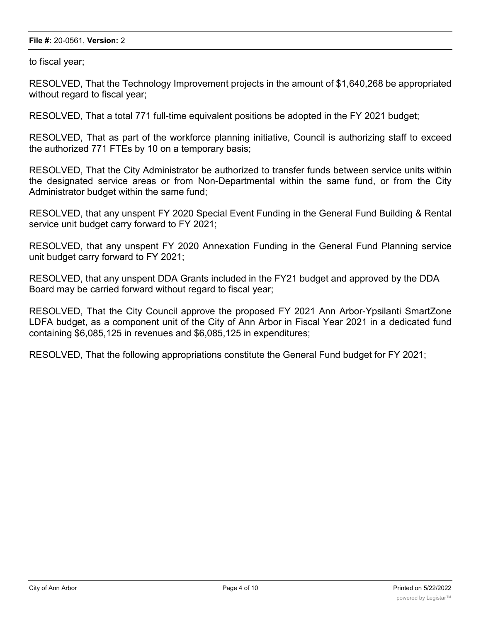#### **File #:** 20-0561, **Version:** 2

to fiscal year;

RESOLVED, That the Technology Improvement projects in the amount of \$1,640,268 be appropriated without regard to fiscal year;

RESOLVED, That a total 771 full-time equivalent positions be adopted in the FY 2021 budget;

RESOLVED, That as part of the workforce planning initiative, Council is authorizing staff to exceed the authorized 771 FTEs by 10 on a temporary basis;

RESOLVED, That the City Administrator be authorized to transfer funds between service units within the designated service areas or from Non-Departmental within the same fund, or from the City Administrator budget within the same fund;

RESOLVED, that any unspent FY 2020 Special Event Funding in the General Fund Building & Rental service unit budget carry forward to FY 2021;

RESOLVED, that any unspent FY 2020 Annexation Funding in the General Fund Planning service unit budget carry forward to FY 2021;

RESOLVED, that any unspent DDA Grants included in the FY21 budget and approved by the DDA Board may be carried forward without regard to fiscal year;

RESOLVED, That the City Council approve the proposed FY 2021 Ann Arbor-Ypsilanti SmartZone LDFA budget, as a component unit of the City of Ann Arbor in Fiscal Year 2021 in a dedicated fund containing \$6,085,125 in revenues and \$6,085,125 in expenditures;

RESOLVED, That the following appropriations constitute the General Fund budget for FY 2021;

<u>PUBLIC SERVICES (SERVICES SERVICES SERVICES SERVICES SERVICES SERVICES SERVICES SERVICES SERVICES SERVICES SE</u>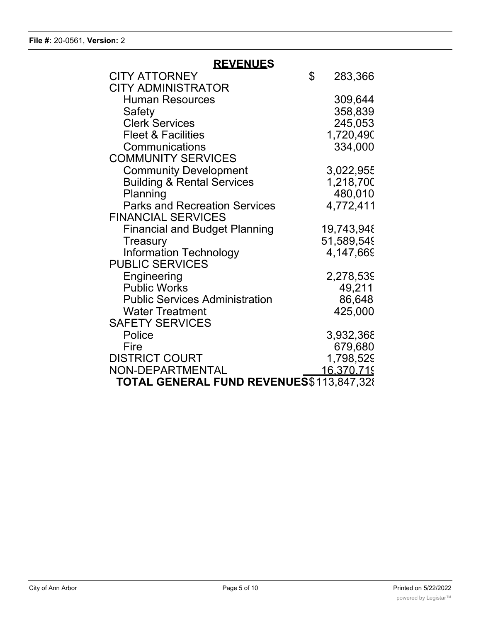| <u>REVENUES</u>                          |               |
|------------------------------------------|---------------|
| <b>CITY ATTORNEY</b>                     | \$<br>283,366 |
| <b>CITY ADMINISTRATOR</b>                |               |
| <b>Human Resources</b>                   | 309,644       |
| Safety                                   | 358,839       |
| <b>Clerk Services</b>                    | 245,053       |
| <b>Fleet &amp; Facilities</b>            | 1,720,490     |
| Communications                           | 334,000       |
| <b>COMMUNITY SERVICES</b>                |               |
| <b>Community Development</b>             | 3,022,955     |
| <b>Building &amp; Rental Services</b>    | 1,218,700     |
| Planning                                 | 480,010       |
| <b>Parks and Recreation Services</b>     | 4,772,411     |
| <b>FINANCIAL SERVICES</b>                |               |
| <b>Financial and Budget Planning</b>     | 19,743,948    |
| Treasury                                 | 51,589,549    |
| <b>Information Technology</b>            | 4,147,669     |
| <b>PUBLIC SERVICES</b>                   |               |
| Engineering                              | 2,278,539     |
| <b>Public Works</b>                      | 49,211        |
| <b>Public Services Administration</b>    | 86,648        |
| <b>Water Treatment</b>                   | 425,000       |
| <b>SAFETY SERVICES</b>                   |               |
| Police                                   | 3,932,368     |
| Fire                                     | 679,680       |
| <b>DISTRICT COURT</b>                    | 1,798,529     |
| NON-DEPARTMENTAL                         | 16,370,719    |
| TOTAL GENERAL FUND REVENUES\$113,847,328 |               |

**REVENUES**

Community Development 5,050,508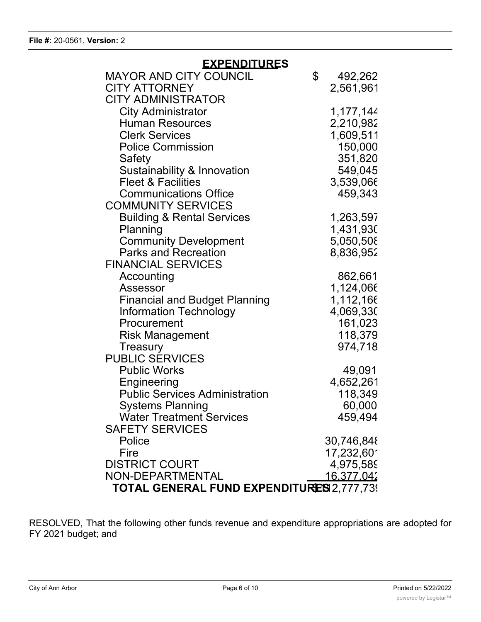| <b>EXPENDITURES</b>                       |    |                   |  |
|-------------------------------------------|----|-------------------|--|
| <b>MAYOR AND CITY COUNCIL</b>             | \$ | 492,262           |  |
| <b>CITY ATTORNEY</b>                      |    | 2,561,961         |  |
| <b>CITY ADMINISTRATOR</b>                 |    |                   |  |
| <b>City Administrator</b>                 |    | 1,177,144         |  |
| <b>Human Resources</b>                    |    | 2,210,982         |  |
| <b>Clerk Services</b>                     |    | 1,609,511         |  |
| <b>Police Commission</b>                  |    | 150,000           |  |
| Safety                                    |    | 351,820           |  |
| Sustainability & Innovation               |    | 549,045           |  |
| <b>Fleet &amp; Facilities</b>             |    | 3,539,066         |  |
| <b>Communications Office</b>              |    | 459,343           |  |
| <b>COMMUNITY SERVICES</b>                 |    |                   |  |
| <b>Building &amp; Rental Services</b>     |    | 1,263,597         |  |
| Planning                                  |    | 1,431,930         |  |
| <b>Community Development</b>              |    | 5,050,508         |  |
| <b>Parks and Recreation</b>               |    | 8,836,952         |  |
| <b>FINANCIAL SERVICES</b>                 |    |                   |  |
| Accounting                                |    | 862,661           |  |
| Assessor                                  |    | 1,124,066         |  |
| <b>Financial and Budget Planning</b>      |    | 1,112,166         |  |
| Information Technology                    |    | 4,069,330         |  |
| Procurement                               |    | 161,023           |  |
| <b>Risk Management</b>                    |    | 118,379           |  |
| <b>Treasury</b>                           |    | 974,718           |  |
| <b>PUBLIC SERVICES</b>                    |    |                   |  |
| <b>Public Works</b>                       |    | 49,091            |  |
| Engineering                               |    | 4,652,261         |  |
| <b>Public Services Administration</b>     |    | 118,349           |  |
| <b>Systems Planning</b>                   |    | 60,000            |  |
| <b>Water Treatment Services</b>           |    | 459,494           |  |
| <b>SAFETY SERVICES</b>                    |    |                   |  |
| Police                                    |    | 30,746,848        |  |
| Fire                                      |    | 17,232,601        |  |
| <b>DISTRICT COURT</b>                     |    | 4,975,589         |  |
| NON-DEPARTMENTAL                          |    | <u>16,377,042</u> |  |
| TOTAL GENERAL FUND EXPENDITURES 2,777,739 |    |                   |  |

RESOLVED, That the following other funds revenue and expenditure appropriations are adopted for FY 2021 budget; and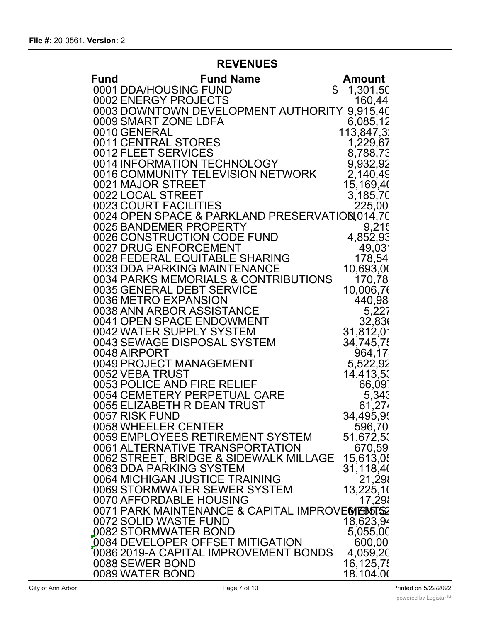## **REVENUES**

| Fund | <b>Fund Name</b>                                        | <b>Amount</b>          |
|------|---------------------------------------------------------|------------------------|
|      | 0001 DDA/HOUSING FUND                                   | \$<br>1,301,50         |
|      | 0002 ENERGY PROJECTS                                    | 160,44                 |
|      | 0003 DOWNTOWN DEVELOPMENT AUTHORITY                     | 9,915,40               |
|      | 0009 SMART ZONE LDFA                                    | 6,085,12               |
|      | 0010 GENERAL<br>0011 CENTRAL STORES                     | 113,847,3:<br>1,229,67 |
|      | 0012 FLEET SERVICES                                     | 8,788,73               |
|      | 0014 INFORMATION TECHNOLOGY                             | 9,932,92               |
|      | 0016 COMMUNITY TELEVISION NETWORK                       | 2,140,49               |
|      | 0021 MAJOR STREET                                       | 15,169,40              |
|      | 0022 LOCAL STREET                                       | 3,185,70               |
|      | 0023 COURT FACILITIES                                   | 225,00                 |
|      | 0024 OPEN SPACE & PARKLAND PRESERVATION,014,70          |                        |
|      | 0025 BANDEMER PROPERTY<br>0026 CONSTRUCTION CODE FUND   | 9,215                  |
|      | 0027 DRUG ENFORCEMENT                                   | 4,852,93<br>49,03'     |
|      | 0028 FEDERAL EQUITABLE SHARING                          | 178,54                 |
|      | 0033 DDA PARKING MAINTENANCE                            | 10,693,00              |
|      | 0034 PARKS MEMORIALS & CONTRIBUTIONS                    | 170,78                 |
|      | 0035 GENERAL DEBT SERVICE                               | 10,006,76              |
|      | 0036 METRO EXPANSION                                    | 440,98                 |
|      | 0038 ANN ARBOR ASSISTANCE                               | 5,227                  |
|      | 0041 OPEN SPACE ENDOWMENT                               | 32,836                 |
|      | 0042 WATER SUPPLY SYSTEM<br>0043 SEWAGE DISPOSAL SYSTEM | 31,812,01<br>34,745,75 |
|      | 0048 AIRPORT                                            | 964,17                 |
|      | 0049 PROJECT MANAGEMENT                                 | 5,522,92               |
|      | 0052 VEBA TRUST                                         | 14,413,53              |
|      | 0053 POLICE AND FIRE RELIEF                             | 66,097                 |
|      | 0054 CEMETERY PERPETUAL CARE                            | 5,343                  |
|      | 0055 ELIZABETH R DEAN TRUST                             | 61,274                 |
|      | 0057 RISK FUND                                          | 34,495,95              |
|      | 0058 WHEELER CENTER<br>0059 EMPLOYEES RETIREMENT SYSTEM | 596,70<br>51,672,53    |
|      | 0061 ALTERNATIVE TRANSPORTATION                         | 670,59                 |
|      | 0062 STREET, BRIDGE & SIDEWALK MILLAGE                  | 15,613,05              |
|      | 0063 DDA PARKING SYSTEM                                 | 31,118,40              |
|      | 0064 MICHIGAN JUSTICE TRAINING                          | 21,298                 |
|      | 0069 STORMWATER SEWER SYSTEM                            | 13,225,10              |
|      | 0070 AFFORDABLE HOUSING                                 | 17,298                 |
|      | 0071 PARK MAINTENANCE & CAPITAL IMPROVEMENTS2           |                        |
|      | 0072 SOLID WASTE FUND<br>0082 STORMWATER BOND           | 18,623,94<br>5,055,00  |
|      | 0084 DEVELOPER OFFSET MITIGATION                        | 600,00                 |
|      | 0086 2019-A CAPITAL IMPROVEMENT BONDS                   | 4,059,20               |
|      | 0088 SEWER BOND                                         | 16,125,75              |
|      | 0089 WATER BOND                                         | 18.104.00              |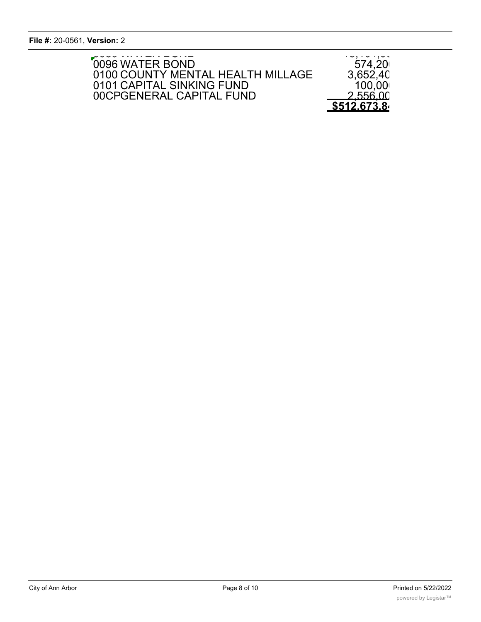**File #:** 20-0561, **Version:** 2 0086 2019-A CAPITAL IMPROVEMENT BONDS 4,059,200  $\mathsf{d}$  ersion: 2

| 0096 WATER BOND                                                | $\cdot \backsim$ , $\cdot \backsim \cdot$ , $\backsim \backsim$<br>574,20 |
|----------------------------------------------------------------|---------------------------------------------------------------------------|
| 0100 COUNTY MENTAL HEALTH MILLAGE<br>0101 CAPITAL SINKING FUND | 3,652,40<br>100,00                                                        |
| 00CPGENERAL CAPITAL FUND                                       | 2.556.00<br>\$512.673.8                                                   |
|                                                                |                                                                           |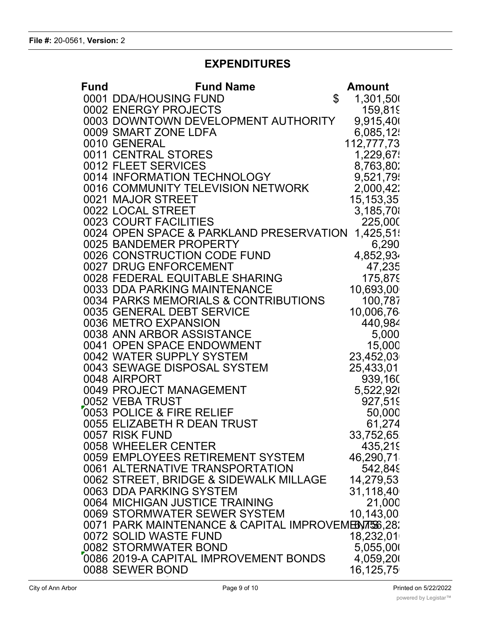# **EXPENDITURES**

| Fund | <b>Fund Name</b>                                         | Amount          |
|------|----------------------------------------------------------|-----------------|
|      | 0001 DDA/HOUSING FUND                                    | \$<br>1,301,500 |
|      | 0002 ENERGY PROJECTS                                     | 159,819         |
|      | 0003 DOWNTOWN DEVELOPMENT AUTHORITY                      | 9,915,400       |
|      | 0009 SMART ZONE LDFA                                     | 6,085,12        |
|      | 0010 GENERAL                                             | 112,777,73      |
|      | 0011 CENTRAL STORES                                      | 1,229,67        |
|      | 0012 FLEET SERVICES                                      | 8,763,802       |
|      | 0014 INFORMATION TECHNOLOGY                              | 9,521,79        |
|      | 0016 COMMUNITY TELEVISION NETWORK                        | 2,000,42        |
|      | 0021 MAJOR STREET                                        | 15, 153, 35     |
|      | 0022 LOCAL STREET                                        | 3,185,70        |
|      | 0023 COURT FACILITIES                                    | 225,000         |
|      | 0024 OPEN SPACE & PARKLAND PRESERVATION                  | 1,425,51        |
|      | 0025 BANDEMER PROPERTY                                   | 6,290           |
|      | 0026 CONSTRUCTION CODE FUND                              | 4,852,934       |
|      | 0027 DRUG ENFORCEMENT                                    | 47,235          |
|      | 0028 FEDERAL EQUITABLE SHARING                           | 175,879         |
|      | 0033 DDA PARKING MAINTENANCE                             | 10,693,00       |
|      | 0034 PARKS MEMORIALS & CONTRIBUTIONS                     | 100,787         |
|      | 0035 GENERAL DEBT SERVICE                                | 10,006,76       |
|      | 0036 METRO EXPANSION                                     | 440,984         |
|      | 0038 ANN ARBOR ASSISTANCE                                | 5,000           |
|      | 0041 OPEN SPACE ENDOWMENT                                | 15,000          |
|      | 0042 WATER SUPPLY SYSTEM                                 | 23,452,03       |
|      | 0043 SEWAGE DISPOSAL SYSTEM                              | 25,433,01       |
|      | 0048 AIRPORT                                             | 939,160         |
|      | 0049 PROJECT MANAGEMENT                                  | 5,522,920       |
|      | 0052 VEBA TRUST                                          | 927,519         |
|      | 0053 POLICE & FIRE RELIEF                                | 50,000          |
|      | 0055 ELIZABETH R DEAN TRUST                              | 61,274          |
|      | 0057 RISK FUND                                           | 33,752,65       |
|      | 0058 WHEELER CENTER                                      | 435,219         |
|      | 0059 EMPLOYEES RETIREMENT SYSTEM                         | 46,290,71       |
|      | 0061 ALTERNATIVE TRANSPORTATION                          | 542,849         |
|      | 0062 STREET, BRIDGE & SIDEWALK MILLAGE                   | 14,279,53       |
|      | 0063 DDA PARKING SYSTEM                                  | 31,118,40       |
|      | 0064 MICHIGAN JUSTICE TRAINING                           | 21,000          |
|      | 0069 STORMWATER SEWER SYSTEM                             | 10,143,00       |
|      | 0071 PARK MAINTENANCE & CAPITAL IMPROVEMENTS 6,28.       |                 |
|      | 0072 SOLID WASTE FUND                                    | 18,232,01       |
|      | 0082 STORMWATER BOND                                     | 5,055,000       |
|      | 0086 2019-A CAPITAL IMPROVEMENT BONDS<br>0088 SEWER BOND | 4,059,200       |
|      |                                                          | 16,125,75       |
|      |                                                          |                 |